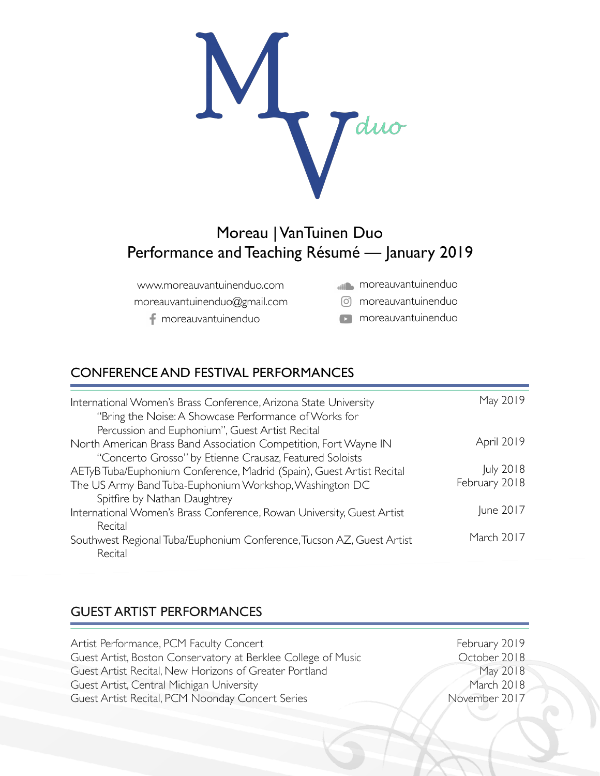

# Moreau | VanTuinen Duo Performance and Teaching Résumé — January 2019

www.moreauvantuinenduo.com moreauvantuinenduo@gmail.com

moreauvantuinenduo

- **moreauvantuinenduo**
- moreauvantuinenduo
- **moreauvantuinenduo**

### CONFERENCE AND FESTIVAL PERFORMANCES

| International Women's Brass Conference, Arizona State University<br>"Bring the Noise: A Showcase Performance of Works for                                                                   | May 2019                   |
|---------------------------------------------------------------------------------------------------------------------------------------------------------------------------------------------|----------------------------|
| Percussion and Euphonium", Guest Artist Recital<br>North American Brass Band Association Competition, Fort Wayne IN                                                                         | April 2019                 |
| "Concerto Grosso" by Etienne Crausaz, Featured Soloists<br>AETyB Tuba/Euphonium Conference, Madrid (Spain), Guest Artist Recital<br>The US Army Band Tuba-Euphonium Workshop, Washington DC | July 2018<br>February 2018 |
| Spitfire by Nathan Daughtrey<br>International Women's Brass Conference, Rowan University, Guest Artist<br>Recital                                                                           | June 2017                  |
| Southwest Regional Tuba/Euphonium Conference, Tucson AZ, Guest Artist<br>Recital                                                                                                            | March 2017                 |

### GUEST ARTIST PERFORMANCES

| Artist Performance, PCM Faculty Concert                       | February 2019 |
|---------------------------------------------------------------|---------------|
| Guest Artist, Boston Conservatory at Berklee College of Music | October 2018  |
| Guest Artist Recital, New Horizons of Greater Portland        | May 2018      |
| Guest Artist, Central Michigan University                     | March 2018    |
| Guest Artist Recital, PCM Noonday Concert Series              | November 2017 |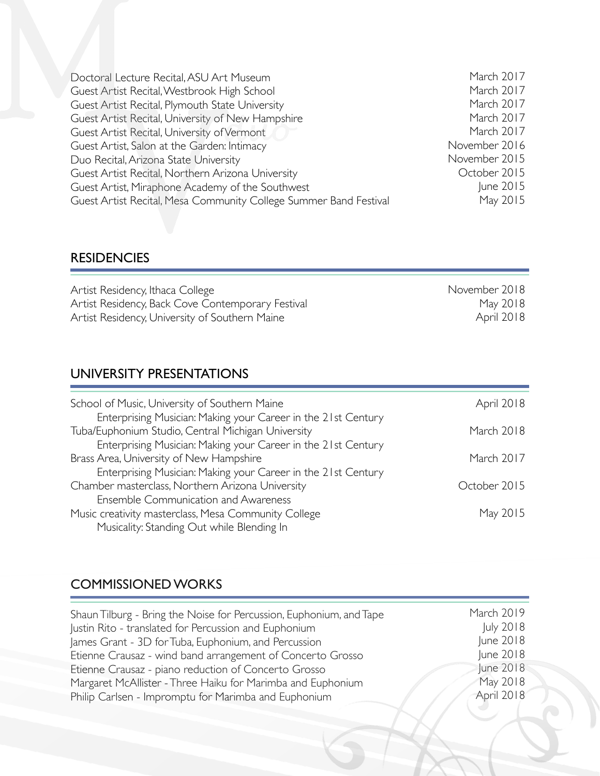| Doctoral Lecture Recital, ASU Art Museum                          | March 2017    |
|-------------------------------------------------------------------|---------------|
| Guest Artist Recital, Westbrook High School                       | March 2017    |
| Guest Artist Recital, Plymouth State University                   | March 2017    |
| Guest Artist Recital, University of New Hampshire                 | March 2017    |
| Guest Artist Recital, University of Vermont                       | March 2017    |
| Guest Artist, Salon at the Garden: Intimacy                       | November 2016 |
| Duo Recital, Arizona State University                             | November 2015 |
| Guest Artist Recital, Northern Arizona University                 | October 2015  |
| Guest Artist, Miraphone Academy of the Southwest                  | June 2015     |
| Guest Artist Recital, Mesa Community College Summer Band Festival | May 2015      |
|                                                                   |               |

November 2018

May 2018 April 2018

#### **RESIDENCIES**

Artist Residency, Ithaca College Artist Residency, Back Cove Contemporary Festival Artist Residency, University of Southern Maine

## UNIVERSITY PRESENTATIONS

| School of Music, University of Southern Maine                                                                       | April 2018   |
|---------------------------------------------------------------------------------------------------------------------|--------------|
| Enterprising Musician: Making your Career in the 21st Century<br>Tuba/Euphonium Studio, Central Michigan University | March 2018   |
| Enterprising Musician: Making your Career in the 21st Century                                                       |              |
| Brass Area, University of New Hampshire                                                                             | March 2017   |
| Enterprising Musician: Making your Career in the 21st Century                                                       |              |
| Chamber masterclass, Northern Arizona University                                                                    | October 2015 |
| Ensemble Communication and Awareness                                                                                |              |
| Music creativity masterclass, Mesa Community College<br>Musicality: Standing Out while Blending In                  | May 2015     |

## COMMISSIONED WORKS

| Shaun Tilburg - Bring the Noise for Percussion, Euphonium, and Tape | March 2019       |
|---------------------------------------------------------------------|------------------|
| Justin Rito - translated for Percussion and Euphonium               | <b>July 2018</b> |
| James Grant - 3D for Tuba, Euphonium, and Percussion                | June 2018        |
| Etienne Crausaz - wind band arrangement of Concerto Grosso          | June 2018        |
| Etienne Crausaz - piano reduction of Concerto Grosso                | une 2018         |
| Margaret McAllister - Three Haiku for Marimba and Euphonium         | May 2018         |
| Philip Carlsen - Impromptu for Marimba and Euphonium                | April 2018       |
|                                                                     |                  |